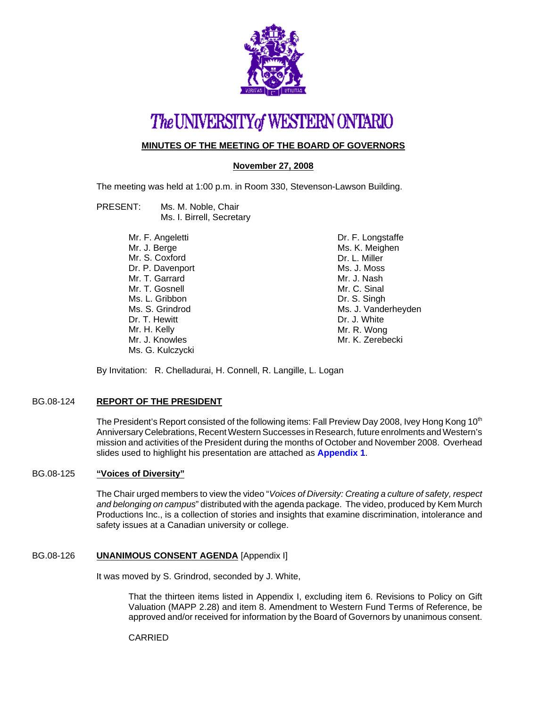

# The UNIVERSITY of WESTERN ONTARIO

## **MINUTES OF THE MEETING OF THE BOARD OF GOVERNORS**

## **November 27, 2008**

The meeting was held at 1:00 p.m. in Room 330, Stevenson-Lawson Building.

- PRESENT: Ms. M. Noble, Chair Ms. I. Birrell, Secretary
	- Mr. F. Angeletti Mr. J. Berge Mr. S. Coxford Dr. P. Davenport Mr. T. Garrard Mr. T. Gosnell Ms. L. Gribbon Ms. S. Grindrod Dr. T. Hewitt Mr. H. Kelly Mr. J. Knowles Ms. G. Kulczycki

Dr. F. Longstaffe Ms. K. Meighen Dr. L. Miller Ms. J. Moss Mr. J. Nash Mr. C. Sinal Dr. S. Singh Ms. J. Vanderheyden Dr. J. White Mr. R. Wong Mr. K. Zerebecki

By Invitation: R. Chelladurai, H. Connell, R. Langille, L. Logan

## BG.08-124 **REPORT OF THE PRESIDENT**

The President's Report consisted of the following items: Fall Preview Day 2008, Ivey Hong Kong 10<sup>th</sup> Anniversary Celebrations, Recent Western Successes in Research, future enrolments and Western's mission and activities of the President during the months of October and November 2008. Overhead slides used to highlight his presentation are attached as **[Appendix 1](#page-4-0)**.

## BG.08-125 **"Voices of Diversity"**

The Chair urged members to view the video "*Voices of Diversity: Creating a culture of safety, respect and belonging on campus*" distributed with the agenda package. The video, produced by Kem Murch Productions Inc., is a collection of stories and insights that examine discrimination, intolerance and safety issues at a Canadian university or college.

## BG.08-126 **UNANIMOUS CONSENT AGENDA** [Appendix I]

It was moved by S. Grindrod, seconded by J. White,

That the thirteen items listed in Appendix I, excluding item 6. Revisions to Policy on Gift Valuation (MAPP 2.28) and item 8. Amendment to Western Fund Terms of Reference, be approved and/or received for information by the Board of Governors by unanimous consent.

## CARRIED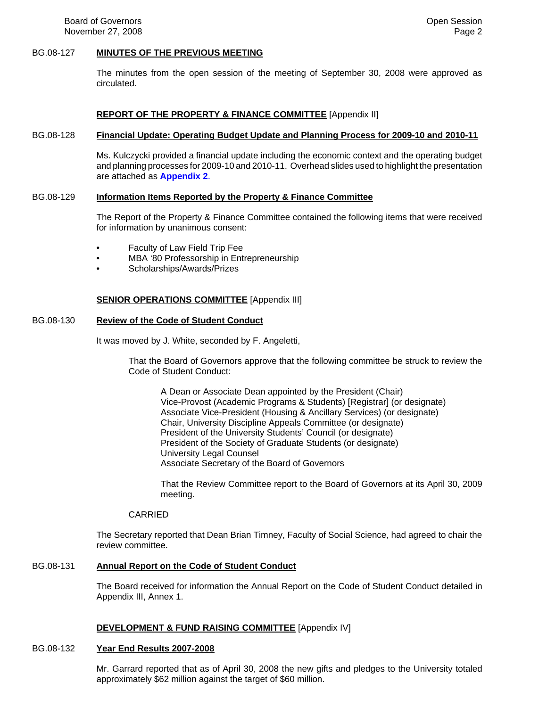## BG.08-127 **MINUTES OF THE PREVIOUS MEETING**

The minutes from the open session of the meeting of September 30, 2008 were approved as circulated.

## **REPORT OF THE PROPERTY & FINANCE COMMITTEE** [Appendix II]

#### BG.08-128 **Financial Update: Operating Budget Update and Planning Process for 2009-10 and 2010-11**

Ms. Kulczycki provided a financial update including the economic context and the operating budget and planning processes for 2009-10 and 2010-11. Overhead slides used to highlight the presentation are attached as **[Appendix 2](#page-7-0)**.

#### BG.08-129 **Information Items Reported by the Property & Finance Committee**

The Report of the Property & Finance Committee contained the following items that were received for information by unanimous consent:

- Faculty of Law Field Trip Fee
- MBA '80 Professorship in Entrepreneurship
- Scholarships/Awards/Prizes

## **SENIOR OPERATIONS COMMITTEE** [Appendix III]

## BG.08-130 **Review of the Code of Student Conduct**

It was moved by J. White, seconded by F. Angeletti,

That the Board of Governors approve that the following committee be struck to review the Code of Student Conduct:

A Dean or Associate Dean appointed by the President (Chair) Vice-Provost (Academic Programs & Students) [Registrar] (or designate) Associate Vice-President (Housing & Ancillary Services) (or designate) Chair, University Discipline Appeals Committee (or designate) President of the University Students' Council (or designate) President of the Society of Graduate Students (or designate) University Legal Counsel Associate Secretary of the Board of Governors

That the Review Committee report to the Board of Governors at its April 30, 2009 meeting.

#### **CARRIED**

The Secretary reported that Dean Brian Timney, Faculty of Social Science, had agreed to chair the review committee.

## BG.08-131 **Annual Report on the Code of Student Conduct**

The Board received for information the Annual Report on the Code of Student Conduct detailed in Appendix III, Annex 1.

#### **DEVELOPMENT & FUND RAISING COMMITTEE** [Appendix IV]

## BG.08-132 **Year End Results 2007-2008**

Mr. Garrard reported that as of April 30, 2008 the new gifts and pledges to the University totaled approximately \$62 million against the target of \$60 million.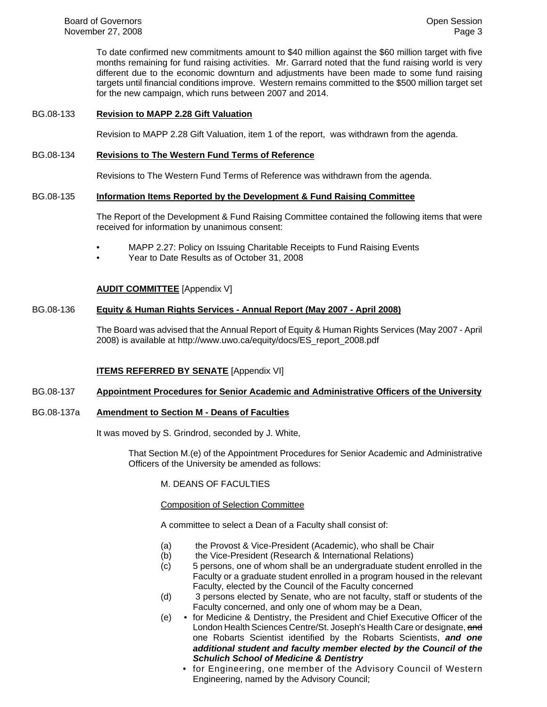To date confirmed new commitments amount to \$40 million against the \$60 million target with five months remaining for fund raising activities. Mr. Garrard noted that the fund raising world is very different due to the economic downturn and adjustments have been made to some fund raising targets until financial conditions improve. Western remains committed to the \$500 million target set for the new campaign, which runs between 2007 and 2014.

## BG.08-133 **Revision to MAPP 2.28 Gift Valuation**

Revision to MAPP 2.28 Gift Valuation, item 1 of the report, was withdrawn from the agenda.

## BG.08-134 **Revisions to The Western Fund Terms of Reference**

Revisions to The Western Fund Terms of Reference was withdrawn from the agenda.

## BG.08-135 **Information Items Reported by the Development & Fund Raising Committee**

The Report of the Development & Fund Raising Committee contained the following items that were received for information by unanimous consent:

- MAPP 2.27: Policy on Issuing Charitable Receipts to Fund Raising Events
- Year to Date Results as of October 31, 2008

## **AUDIT COMMITTEE** [Appendix V]

## BG.08-136 **Equity & Human Rights Services - Annual Report (May 2007 - April 2008)**

The Board was advised that the Annual Report of Equity & Human Rights Services (May 2007 - April 2008) is available at http://www.uwo.ca/equity/docs/ES\_report\_2008.pdf

## **ITEMS REFERRED BY SENATE** [Appendix VI]

#### BG.08-137 **Appointment Procedures for Senior Academic and Administrative Officers of the University**

## BG.08-137a **Amendment to Section M - Deans of Faculties**

It was moved by S. Grindrod, seconded by J. White,

That Section M.(e) of the Appointment Procedures for Senior Academic and Administrative Officers of the University be amended as follows:

M. DEANS OF FACULTIES

#### Composition of Selection Committee

A committee to select a Dean of a Faculty shall consist of:

- (a) the Provost & Vice-President (Academic), who shall be Chair
- (b) the Vice-President (Research & International Relations)
- (c) 5 persons, one of whom shall be an undergraduate student enrolled in the Faculty or a graduate student enrolled in a program housed in the relevant Faculty, elected by the Council of the Faculty concerned
- (d) 3 persons elected by Senate, who are not faculty, staff or students of the Faculty concerned, and only one of whom may be a Dean,
- (e) for Medicine & Dentistry, the President and Chief Executive Officer of the London Health Sciences Centre/St. Joseph's Health Care or designate, and one Robarts Scientist identified by the Robarts Scientists, *and one additional student and faculty member elected by the Council of the Schulich School of Medicine & Dentistry*
	- for Engineering, one member of the Advisory Council of Western Engineering, named by the Advisory Council;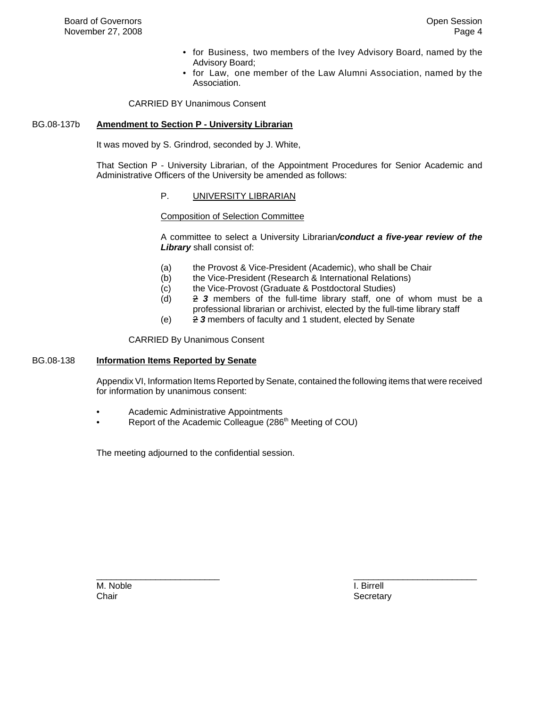- for Business, two members of the Ivey Advisory Board, named by the Advisory Board;
- for Law, one member of the Law Alumni Association, named by the Association.

CARRIED BY Unanimous Consent

## BG.08-137b **Amendment to Section P - University Librarian**

It was moved by S. Grindrod, seconded by J. White,

That Section P - University Librarian, of the Appointment Procedures for Senior Academic and Administrative Officers of the University be amended as follows:

## P. UNIVERSITY LIBRARIAN

Composition of Selection Committee

A committee to select a University Librarian*/conduct a five-year review of the Library* shall consist of:

- (a) the Provost & Vice-President (Academic), who shall be Chair
- (b) the Vice-President (Research & International Relations)
- (c) the Vice-Provost (Graduate & Postdoctoral Studies)
- (d) 2 *3* members of the full-time library staff, one of whom must be a professional librarian or archivist, elected by the full-time library staff
- (e) 2 *3* members of faculty and 1 student, elected by Senate

CARRIED By Unanimous Consent

#### BG.08-138 **Information Items Reported by Senate**

Appendix VI, Information Items Reported by Senate, contained the following items that were received for information by unanimous consent:

\_\_\_\_\_\_\_\_\_\_\_\_\_\_\_\_\_\_\_\_\_\_\_\_\_ \_\_\_\_\_\_\_\_\_\_\_\_\_\_\_\_\_\_\_\_\_\_\_\_\_

- Academic Administrative Appointments
- Report of the Academic Colleague (286<sup>th</sup> Meeting of COU)

The meeting adjourned to the confidential session.

M. Noble **I. Birrell** 

Chair **Secretary** Chair Secretary **Chair** Secretary **Secretary** Secretary **Secretary**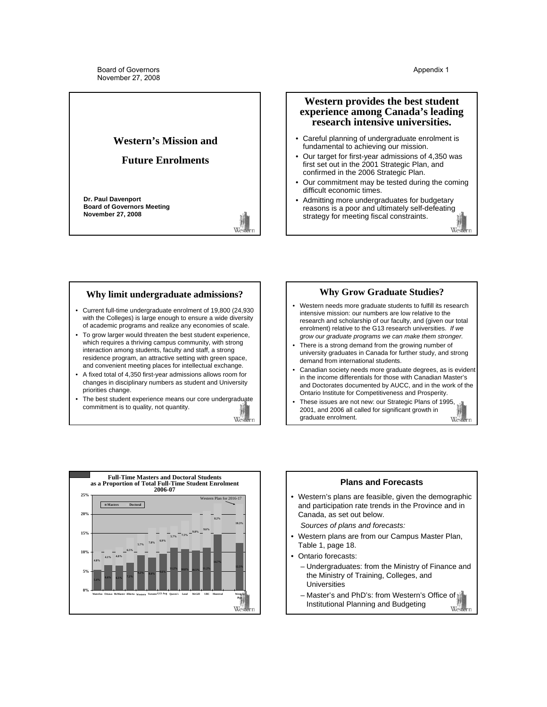Western

## <span id="page-4-0"></span>**Western's Mission and**

## **Future Enrolments**

**Dr. Paul Davenport Board of Governors Meeting November 27, 2008**



Western

## **Western provides the best student experience among Canada's leading research intensive universities.**

- Careful planning of undergraduate enrolment is fundamental to achieving our mission.
- Our target for first-year admissions of 4,350 was first set out in the 2001 Strategic Plan, and confirmed in the 2006 Strategic Plan.
- Our commitment may be tested during the coming difficult economic times.
- Admitting more undergraduates for budgetary reasons is a poor and ultimately self-defeating strategy for meeting fiscal constraints.

## **Why limit undergraduate admissions?**

- Current full-time undergraduate enrolment of 19,800 (24,930 with the Colleges) is large enough to ensure a wide diversity of academic programs and realize any economies of scale.
- To grow larger would threaten the best student experience, which requires a thriving campus community, with strong interaction among students, faculty and staff, a strong residence program, an attractive setting with green space, and convenient meeting places for intellectual exchange.
- A fixed total of 4,350 first-year admissions allows room for changes in disciplinary numbers as student and University priorities change.
- The best student experience means our core undergraduate commitment is to quality, not quantity.

## **Why Grow Graduate Studies?**

- Western needs more graduate students to fulfill its research intensive mission: our numbers are low relative to the research and scholarship of our faculty, and (given our total enrolment) relative to the G13 research universities. *If we grow our graduate programs we can make them stronger.*
- There is a strong demand from the growing number of university graduates in Canada for further study, and strong demand from international students.
- Canadian society needs more graduate degrees, as is evident in the income differentials for those with Canadian Master's and Doctorates documented by AUCC, and in the work of the Ontario Institute for Competitiveness and Prosperity.
- These issues are not new: our Strategic Plans of 1995, 2001, and 2006 all called for significant growth in graduate enrolment. West



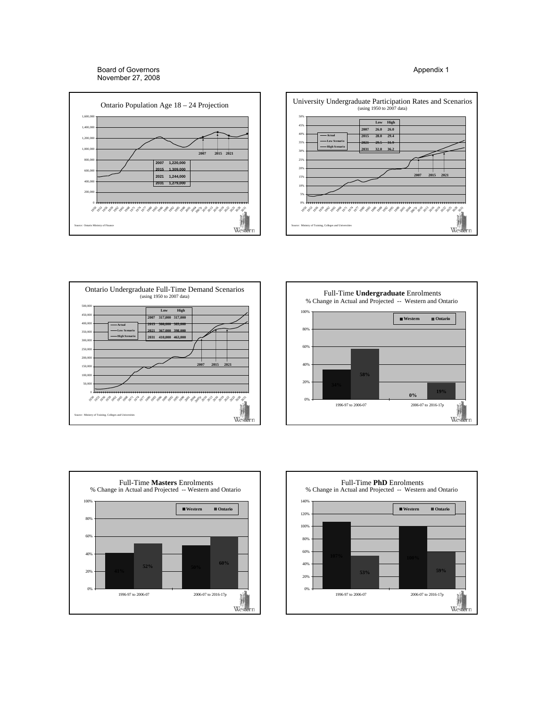Board of Governors November 27, 2008











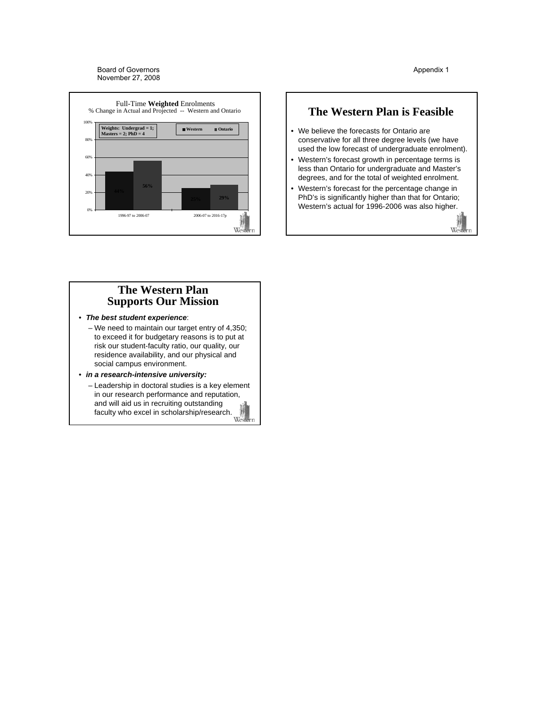

#### Appendix 1

## **The Western Plan is Feasible**

- We believe the forecasts for Ontario are conservative for all three degree levels (we have used the low forecast of undergraduate enrolment).
- Western's forecast growth in percentage terms is less than Ontario for undergraduate and Master's degrees, and for the total of weighted enrolment.
- Western's forecast for the percentage change in PhD's is significantly higher than that for Ontario; Western's actual for 1996-2006 was also higher.



## **The Western Plan Supports Our Mission**

- *The best student experience*:
	- We need to maintain our target entry of 4,350; to exceed it for budgetary reasons is to put at risk our student-faculty ratio, our quality, our residence availability, and our physical and social campus environment.
- *in a research-intensive university:*
	- Leadership in doctoral studies is a key element in our research performance and reputation, and will aid us in recruiting outstanding faculty who excel in scholarship/research. Western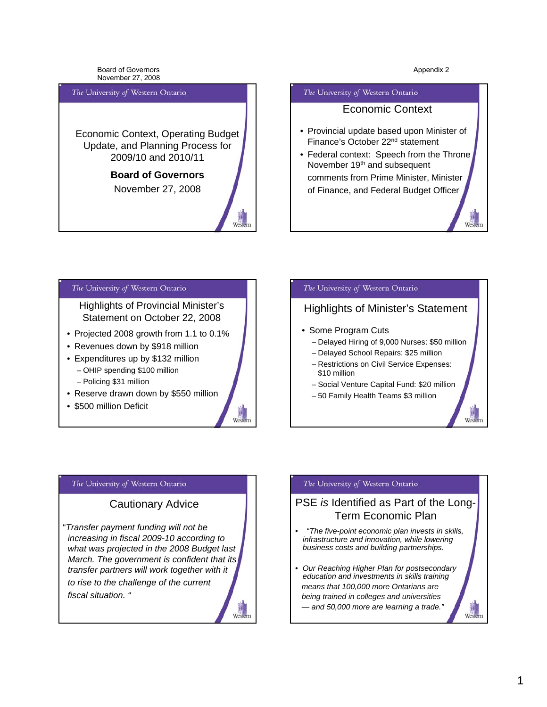Wes

Weste

Board of Governors November 27, 2008

## <span id="page-7-0"></span>The University of Western Ontario

Economic Context, Operating Budget Update, and Planning Process for 2009/10 and 2010/11

## **Board of Governors** November 27, 2008

Wes

 $W_{est}$ 

#### The University of Western Ontario

## Economic Context

- Provincial update based upon Minister of Finance's October 22nd statement
- Federal context: Speech from the Throne November 19th and subsequent comments from Prime Minister, Minister of Finance, and Federal Budget Officer

## The University of Western Ontario

Highlights of Provincial Minister's Statement on October 22, 2008

- Projected 2008 growth from 1.1 to 0.1%
- Revenues down by \$918 million
- Expenditures up by \$132 million – OHIP spending \$100 million – Policing \$31 million
- Reserve drawn down by \$550 million
- \$500 million Deficit

## The University of Western Ontario

## Highlights of Minister's Statement

- Some Program Cuts
	- Delayed Hiring of 9,000 Nurses: \$50 million
	- Delayed School Repairs: \$25 million
	- Restrictions on Civil Service Expenses: \$10 million
	- Social Venture Capital Fund: \$20 million
	- 50 Family Health Teams \$3 million

## The University of Western Ontario

## Cautionary Advice

"*Transfer payment funding will not be increasing in fiscal 2009-10 according to what was projected in the 2008 Budget last March. The government is confident that its transfer partners will work together with it to rise to the challenge of the current fiscal situation. "*

## The University of Western Ontario

## PSE *is* Identified as Part of the Long-Term Economic Plan

- "*The five-point economic plan invests in skills, infrastructure and innovation, while lowering business costs and building partnerships.*
- *Our Reaching Higher Plan for postsecondary education and investments in skills training means that 100,000 more Ontarians are being trained in colleges and universities — and 50,000 more are learning a trade."*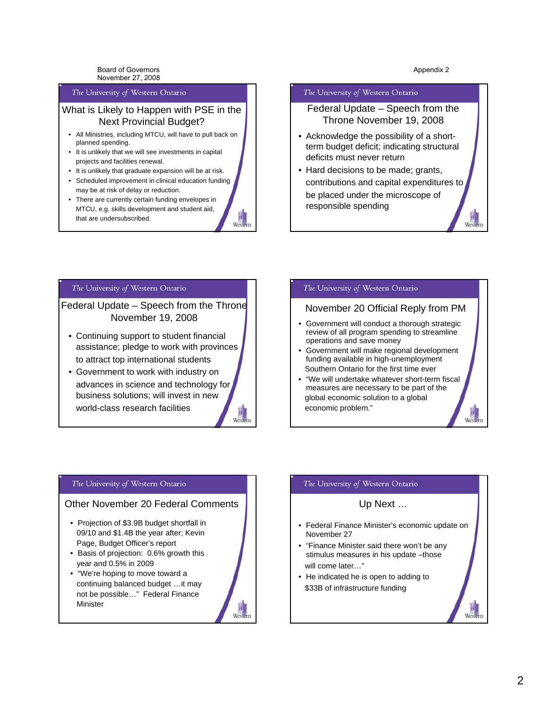Wes

 $W_{\text{ext}}$ 

Board of Governors November 27, 2008

#### The University of Western Ontario

## What is Likely to Happen with PSE in the Next Provincial Budget?

- All Ministries, including MTCU, will have to pull back on planned spending.
- It is unlikely that we will see investments in capital projects and facilities renewal.
- It is unlikely that graduate expansion will be at risk.
- Scheduled improvement in clinical education funding may be at risk of delay or reduction.
- There are currently certain funding envelopes in MTCU, e.g. skills development and student aid, that are undersubscribed.

#### The University of Western Ontario

Federal Update – Speech from the Throne November 19, 2008

- Acknowledge the possibility of a shortterm budget deficit; indicating structural deficits must never return
- Hard decisions to be made; grants, contributions and capital expenditures to be placed under the microscope of responsible spending

#### The University of Western Ontario

Federal Update – Speech from the Throne November 19, 2008

- Continuing support to student financial assistance; pledge to work with provinces to attract top international students
- Government to work with industry on advances in science and technology for business solutions; will invest in new world-class research facilities

#### The University of Western Ontario

## November 20 Official Reply from PM

- Government will conduct a thorough strategic review of all program spending to streamline operations and save money
- Government will make regional development funding available in high-unemployment Southern Ontario for the first time ever
- "We will undertake whatever short-term fiscal measures are necessary to be part of the global economic solution to a global economic problem."

#### The University of Western Ontario

## Other November 20 Federal Comments

- Projection of \$3.9B budget shortfall in 09/10 and \$1.4B the year after; Kevin Page, Budget Officer's report
- Basis of projection: 0.6% growth this year and 0.5% in 2009
- "We're hoping to move toward a continuing balanced budget …it may not be possible…" Federal Finance Minister



West

#### The University of Western Ontario

## Up Next …

- Federal Finance Minister's economic update on November 27
- "Finance Minister said there won't be any stimulus measures in his update -those will come later…"
- He indicated he is open to adding to \$33B of infrastructure funding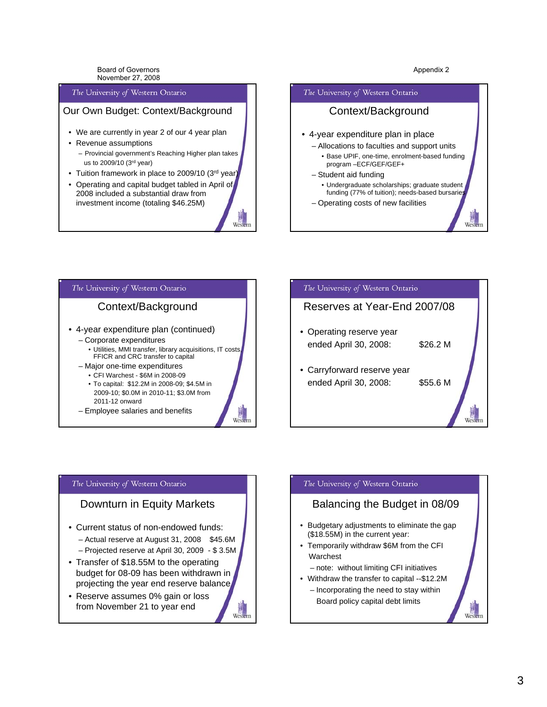Wes

West

Board of Governors November 27, 2008

#### The University of Western Ontario

## Our Own Budget: Context/Background

- We are currently in year 2 of our 4 year plan
- Revenue assumptions
	- Provincial government's Reaching Higher plan takes us to 2009/10 (3rd year)
- Tuition framework in place to 2009/10 (3rd year)
- Operating and capital budget tabled in April of 2008 included a substantial draw from investment income (totaling \$46.25M)





## The University of Western Ontario

## Context/Background

- 4-year expenditure plan (continued) – Corporate expenditures
	- Utilities, MMI transfer, library acquisitions, IT costs, FFICR and CRC transfer to capital
	- Major one-time expenditures
		- CFI Warchest \$6M in 2008-09 • To capital: \$12.2M in 2008-09; \$4.5M in
		- 2009-10; \$0.0M in 2010-11; \$3.0M from 2011-12 onward
	- Employee salaries and benefits

# The University of Western Ontario Reserves at Year-End 2007/08 • Operating reserve year ended April 30, 2008: \$26.2 M • Carryforward reserve year ended April 30, 2008: \$55.6 M

#### The University of Western Ontario

## Downturn in Equity Markets

- Current status of non-endowed funds: – Actual reserve at August 31, 2008 \$45.6M – Projected reserve at April 30, 2009 - \$ 3.5M
- Transfer of \$18.55M to the operating budget for 08-09 has been withdrawn in projecting the year end reserve balance
- Reserve assumes 0% gain or loss from November 21 to year end



## The University of Western Ontario

## Balancing the Budget in 08/09

- Budgetary adjustments to eliminate the gap (\$18.55M) in the current year:
- Temporarily withdraw \$6M from the CFI Warchest

– note: without limiting CFI initiatives

• Withdraw the transfer to capital --\$12.2M – Incorporating the need to stay within Board policy capital debt limits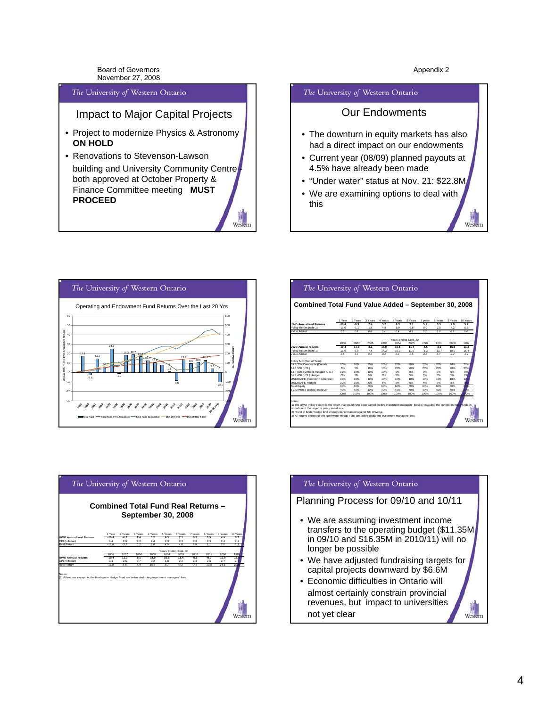Weste

Board of Governors November 27, 2008

#### The University of Western Ontario

## Impact to Major Capital Projects

- Project to modernize Physics & Astronomy **ON HOLD**
- Renovations to Stevenson-Lawson building and University Community Centre both approved at October Property & Finance Committee meeting **MUST PROCEED**

# Wes

#### The University of Western Ontario

## Our Endowments

- The downturn in equity markets has also had a direct impact on our endowments
- Current year (08/09) planned payouts at 4.5% have already been made
- "Under water" status at Nov. 21: \$22.8M
- We are examining options to deal with this



| Combined Total Fund Value Added - September 30, 2008 |             |             |                |             |             |                       |             |             |             |          |
|------------------------------------------------------|-------------|-------------|----------------|-------------|-------------|-----------------------|-------------|-------------|-------------|----------|
|                                                      | 1 Year      | 2 Years     | 3 Years        | 4 Years     | 5 Years     | 6 Years               | 7 years     | 8 Years     | 9 Years     | 10 Years |
| <b>IWO Annualized Returns</b>                        | $-10.4$     | $-0.3$      | 24             | 52          | 63          | 7.1                   | 52          | 35          | 49          | 57       |
| Policy Return (note 1)                               | $-11.0$     | $-1.1$      | 1.8            | 4.8         | 5.9         | 6.8                   | 5.0         | 2.5         | 4.2         | 5.3      |
| Value Added                                          | 0.5         | 0.8         | 0 <sup>6</sup> | 0.4         | 0.4         | 0.3                   | 0.2         | 1.0         | 0.7         | 0.4      |
|                                                      |             |             |                |             |             | Years Ending Sept. 30 |             |             |             |          |
|                                                      | 2008        | 2007        | 2006           | 2005        | 2004        | 2003                  | 2002        | 2001        | 2000        | 1999     |
| <b>INO Annual returns</b>                            | $-10.4$     | 11.0        | 81             | 14.0        | 10.5        | 11.4                  | $-5.5$      | $-8.0$      | 16.8        | 13.4     |
| Policy Return (note 1)                               | $-11.0$     | 9.8         | 7.8            | 14.2        | 10.3        | 11.9                  | $-5.3$      | $-13.7$     | 19.0        | 15.4     |
| bebbA eulsV                                          | 0.5         | 11          | 0.3            | 02          | 02          | $-0.6$                | $-02$       | 57          | .22         | $-1.9$   |
|                                                      |             |             |                |             |             |                       |             |             |             |          |
| Policy Mix (End of Year):                            | 20%         | 20%         | 20%            |             | 20%         | 20%                   |             | 20%         |             |          |
| S&P/TSX Composite (Canada)                           |             | 5%          | 10%            | 20%<br>10%  | 20%         |                       | 20%<br>20%  | 20%         | 20%<br>20%  | 26%      |
| S&P 500 (U.S.)                                       | 5%          |             |                |             |             | 20%                   |             |             |             | 20%      |
| S&P 500 Synthetic Hedged (U.S.)                      | 10%<br>5%   | 10%<br>5%   | 10%<br>5%      | 10%<br>5%   | O%<br>5%    | O%<br>5%              | O%<br>5%    | O%<br>5%    | O%<br>5%    | 0%       |
| S&P 400 (U.S.) Hedged                                | 10%         | 10%         | 10%            | 10%         |             |                       | 10%         | 10%         | 10%         | 29       |
| MSCI EAFE (Non North American)                       |             |             |                |             | 10%         | 10%                   |             |             |             |          |
| <b>MSCI EAFE Hedged</b>                              | 10%         | 10%         | 5%             | 5%          | 5%          | 5%                    | 5%          | 5%          | 5%          |          |
| <b>Total Equity</b>                                  | 60%         | 60%         | 60%            | 60%         | 60%         | 60%                   | 60%         | 60%         | 60%         |          |
| SC Universe (Bonds) (note 2)                         | 40%<br>100% | 40%<br>100% | 40%<br>100%    | 40%<br>100% | 40%<br>100% | 40%<br>100%           | 40%<br>100% | 40%<br>100% | 40%<br>100% | DO%      |



#### The University of Western Ontario

## Planning Process for 09/10 and 10/11

- We are assuming investment income transfers to the operating budget (\$11.35M in 09/10 and \$16.35M in 2010/11) will no longer be possible
- We have adjusted fundraising targets for capital projects downward by \$6.6M
- Economic difficulties in Ontario will almost certainly constrain provincial revenues, but impact to universities not yet clear